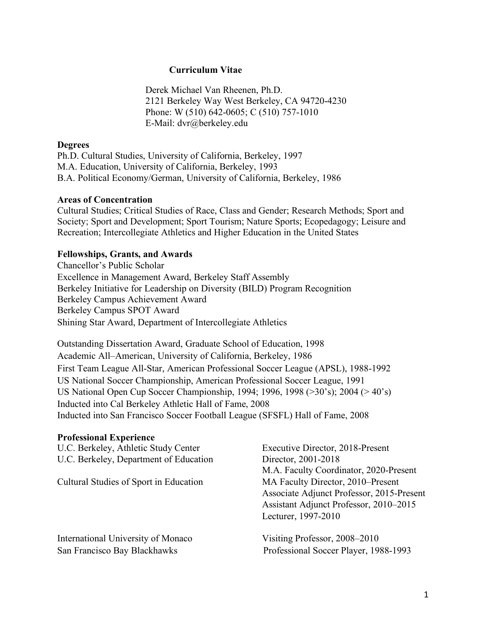### **Curriculum Vitae**

Derek Michael Van Rheenen, Ph.D. 2121 Berkeley Way West Berkeley, CA 94720-4230 Phone: W (510) 642-0605; C (510) 757-1010 E-Mail: dvr@berkeley.edu

#### **Degrees**

Ph.D. Cultural Studies, University of California, Berkeley, 1997 M.A. Education, University of California, Berkeley, 1993 B.A. Political Economy/German, University of California, Berkeley, 1986

#### **Areas of Concentration**

Cultural Studies; Critical Studies of Race, Class and Gender; Research Methods; Sport and Society; Sport and Development; Sport Tourism; Nature Sports; Ecopedagogy; Leisure and Recreation; Intercollegiate Athletics and Higher Education in the United States

### **Fellowships, Grants, and Awards**

Chancellor's Public Scholar Excellence in Management Award, Berkeley Staff Assembly Berkeley Initiative for Leadership on Diversity (BILD) Program Recognition Berkeley Campus Achievement Award Berkeley Campus SPOT Award Shining Star Award, Department of Intercollegiate Athletics

Outstanding Dissertation Award, Graduate School of Education, 1998 Academic All–American, University of California, Berkeley, 1986 First Team League All-Star, American Professional Soccer League (APSL), 1988-1992 US National Soccer Championship, American Professional Soccer League, 1991 US National Open Cup Soccer Championship, 1994; 1996, 1998 (>30's); 2004 (> 40's) Inducted into Cal Berkeley Athletic Hall of Fame, 2008 Inducted into San Francisco Soccer Football League (SFSFL) Hall of Fame, 2008

#### **Professional Experience**

| U.C. Berkeley, Athletic Study Center<br>U.C. Berkeley, Department of Education | Executive Director, 2018-Present<br>Director, 2001-2018 |
|--------------------------------------------------------------------------------|---------------------------------------------------------|
|                                                                                |                                                         |
|                                                                                | Cultural Studies of Sport in Education                  |
| Associate Adjunct Professor, 2015-Present                                      |                                                         |
| Assistant Adjunct Professor, 2010-2015                                         |                                                         |
| Lecturer, 1997-2010                                                            |                                                         |
| International University of Monaco                                             | Visiting Professor, 2008–2010                           |
| San Francisco Bay Blackhawks                                                   | Professional Soccer Player, 1988-1993                   |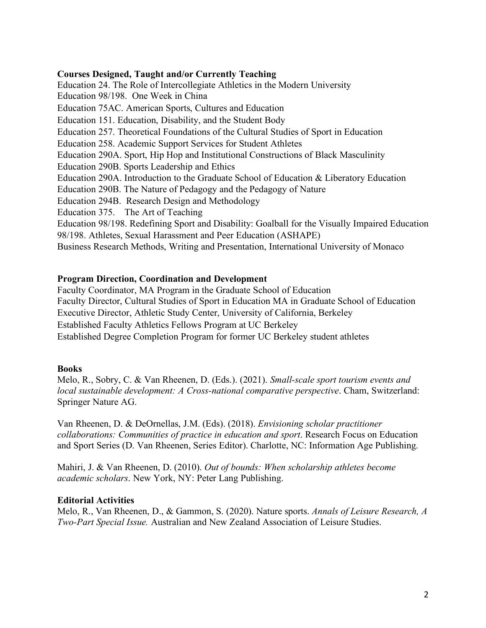### **Courses Designed, Taught and/or Currently Teaching**

Education 24. The Role of Intercollegiate Athletics in the Modern University Education 98/198. One Week in China Education 75AC. American Sports, Cultures and Education Education 151. Education, Disability, and the Student Body Education 257. Theoretical Foundations of the Cultural Studies of Sport in Education Education 258. Academic Support Services for Student Athletes Education 290A. Sport, Hip Hop and Institutional Constructions of Black Masculinity Education 290B. Sports Leadership and Ethics Education 290A. Introduction to the Graduate School of Education & Liberatory Education Education 290B. The Nature of Pedagogy and the Pedagogy of Nature Education 294B. Research Design and Methodology Education 375. The Art of Teaching Education 98/198. Redefining Sport and Disability: Goalball for the Visually Impaired Education 98/198. Athletes, Sexual Harassment and Peer Education (ASHAPE) Business Research Methods, Writing and Presentation, International University of Monaco

# **Program Direction, Coordination and Development**

Faculty Coordinator, MA Program in the Graduate School of Education Faculty Director, Cultural Studies of Sport in Education MA in Graduate School of Education Executive Director, Athletic Study Center, University of California, Berkeley Established Faculty Athletics Fellows Program at UC Berkeley Established Degree Completion Program for former UC Berkeley student athletes

### **Books**

Melo, R., Sobry, C. & Van Rheenen, D. (Eds.). (2021). *Small-scale sport tourism events and local sustainable development: A Cross-national comparative perspective*. Cham, Switzerland: Springer Nature AG.

Van Rheenen, D. & DeOrnellas, J.M. (Eds). (2018). *Envisioning scholar practitioner collaborations: Communities of practice in education and sport*. Research Focus on Education and Sport Series (D. Van Rheenen, Series Editor). Charlotte, NC: Information Age Publishing.

Mahiri, J. & Van Rheenen, D. (2010). *Out of bounds: When scholarship athletes become academic scholars*. New York, NY: Peter Lang Publishing.

# **Editorial Activities**

Melo, R., Van Rheenen, D., & Gammon, S. (2020). Nature sports. *Annals of Leisure Research, A Two-Part Special Issue.* Australian and New Zealand Association of Leisure Studies.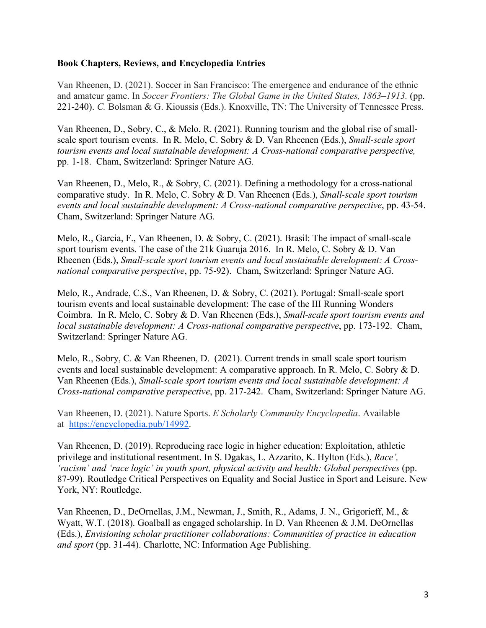### **Book Chapters, Reviews, and Encyclopedia Entries**

Van Rheenen, D. (2021). Soccer in San Francisco: The emergence and endurance of the ethnic and amateur game. In *Soccer Frontiers: The Global Game in the United States, 1863–1913.* (pp. 221-240). *C.* Bolsman & G. Kioussis (Eds.). Knoxville, TN: The University of Tennessee Press.

Van Rheenen, D., Sobry, C., & Melo, R. (2021). Running tourism and the global rise of smallscale sport tourism events. In R. Melo, C. Sobry & D. Van Rheenen (Eds.), *Small-scale sport tourism events and local sustainable development: A Cross-national comparative perspective,* pp. 1-18. Cham, Switzerland: Springer Nature AG.

Van Rheenen, D., Melo, R., & Sobry, C. (2021). Defining a methodology for a cross-national comparative study. In R. Melo, C. Sobry & D. Van Rheenen (Eds.), *Small-scale sport tourism events and local sustainable development: A Cross-national comparative perspective*, pp. 43-54. Cham, Switzerland: Springer Nature AG.

Melo, R., Garcia, F., Van Rheenen, D. & Sobry, C. (2021). Brasil: The impact of small-scale sport tourism events. The case of the 21k Guaruja 2016. In R. Melo, C. Sobry & D. Van Rheenen (Eds.), *Small-scale sport tourism events and local sustainable development: A Crossnational comparative perspective*, pp. 75-92). Cham, Switzerland: Springer Nature AG.

Melo, R., Andrade, C.S., Van Rheenen, D. & Sobry, C. (2021). Portugal: Small-scale sport tourism events and local sustainable development: The case of the III Running Wonders Coimbra. In R. Melo, C. Sobry & D. Van Rheenen (Eds.), *Small-scale sport tourism events and local sustainable development: A Cross-national comparative perspective*, pp. 173-192. Cham, Switzerland: Springer Nature AG.

Melo, R., Sobry, C. & Van Rheenen, D. (2021). Current trends in small scale sport tourism events and local sustainable development: A comparative approach. In R. Melo, C. Sobry & D. Van Rheenen (Eds.), *Small-scale sport tourism events and local sustainable development: A Cross-national comparative perspective*, pp. 217-242. Cham, Switzerland: Springer Nature AG.

Van Rheenen, D. (2021). Nature Sports. *E Scholarly Community Encyclopedia*. Available at https://encyclopedia.pub/14992.

Van Rheenen, D. (2019). Reproducing race logic in higher education: Exploitation, athletic privilege and institutional resentment. In S. Dgakas, L. Azzarito, K. Hylton (Eds.), *Race', 'racism' and 'race logic' in youth sport, physical activity and health: Global perspectives (pp.* 87-99). Routledge Critical Perspectives on Equality and Social Justice in Sport and Leisure. New York, NY: Routledge.

Van Rheenen, D., DeOrnellas, J.M., Newman, J., Smith, R., Adams, J. N., Grigorieff, M., & Wyatt, W.T. (2018). Goalball as engaged scholarship. In D. Van Rheenen & J.M. DeOrnellas (Eds.), *Envisioning scholar practitioner collaborations: Communities of practice in education and sport* (pp. 31-44). Charlotte, NC: Information Age Publishing.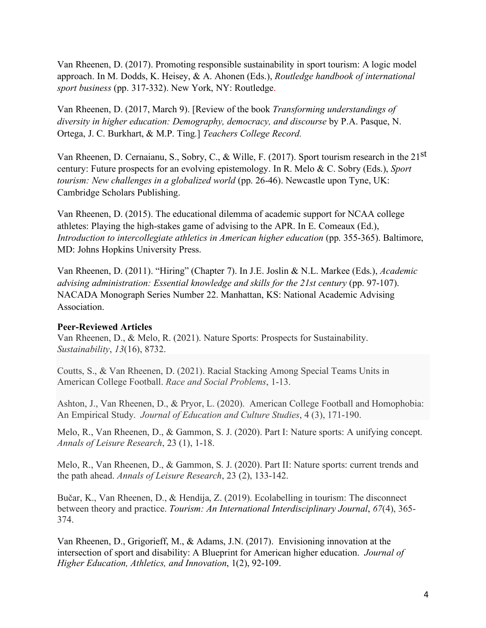Van Rheenen, D. (2017). Promoting responsible sustainability in sport tourism: A logic model approach. In M. Dodds, K. Heisey, & A. Ahonen (Eds.), *Routledge handbook of international sport business* (pp. 317-332). New York, NY: Routledge.

Van Rheenen, D. (2017, March 9). [Review of the book *Transforming understandings of diversity in higher education: Demography, democracy, and discourse* by P.A. Pasque, N. Ortega, J. C. Burkhart, & M.P. Ting*.*] *Teachers College Record.* 

Van Rheenen, D. Cernaianu, S., Sobry, C., & Wille, F. (2017). Sport tourism research in the 21st century: Future prospects for an evolving epistemology. In R. Melo & C. Sobry (Eds.), *Sport tourism: New challenges in a globalized world* (pp. 26-46). Newcastle upon Tyne, UK: Cambridge Scholars Publishing.

Van Rheenen, D. (2015). The educational dilemma of academic support for NCAA college athletes: Playing the high-stakes game of advising to the APR. In E. Comeaux (Ed.), *Introduction to intercollegiate athletics in American higher education* (pp. 355-365). Baltimore, MD: Johns Hopkins University Press.

Van Rheenen, D. (2011). "Hiring" (Chapter 7). In J.E. Joslin & N.L. Markee (Eds.), *Academic advising administration: Essential knowledge and skills for the 21st century (pp. 97-107).* NACADA Monograph Series Number 22. Manhattan, KS: National Academic Advising Association.

### **Peer-Reviewed Articles**

Van Rheenen, D., & Melo, R. (2021). Nature Sports: Prospects for Sustainability. *Sustainability*, *13*(16), 8732.

Coutts, S., & Van Rheenen, D. (2021). Racial Stacking Among Special Teams Units in American College Football. *Race and Social Problems*, 1-13.

Ashton, J., Van Rheenen, D., & Pryor, L. (2020). American College Football and Homophobia: An Empirical Study. *Journal of Education and Culture Studies*, 4 (3), 171-190.

Melo, R., Van Rheenen, D., & Gammon, S. J. (2020). Part I: Nature sports: A unifying concept. *Annals of Leisure Research*, 23 (1), 1-18.

Melo, R., Van Rheenen, D., & Gammon, S. J. (2020). Part II: Nature sports: current trends and the path ahead. *Annals of Leisure Research*, 23 (2), 133-142.

Bučar, K., Van Rheenen, D., & Hendija, Z. (2019). Ecolabelling in tourism: The disconnect between theory and practice. *Tourism: An International Interdisciplinary Journal*, *67*(4), 365- 374.

Van Rheenen, D., Grigorieff, M., & Adams, J.N. (2017). Envisioning innovation at the intersection of sport and disability: A Blueprint for American higher education. *Journal of Higher Education, Athletics, and Innovation*, 1(2), 92-109.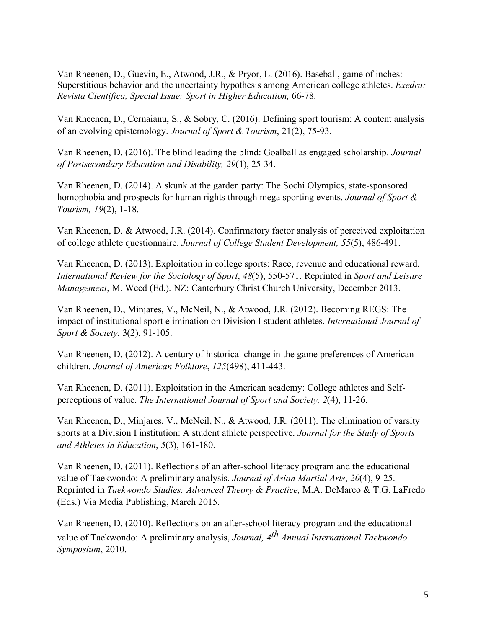Van Rheenen, D., Guevin, E., Atwood, J.R., & Pryor, L. (2016). Baseball, game of inches: Superstitious behavior and the uncertainty hypothesis among American college athletes. *Exedra: Revista Cientifica, Special Issue: Sport in Higher Education,* 66-78.

Van Rheenen, D., Cernaianu, S., & Sobry, C. (2016). Defining sport tourism: A content analysis of an evolving epistemology. *Journal of Sport & Tourism*, 21(2), 75-93.

Van Rheenen, D. (2016). The blind leading the blind: Goalball as engaged scholarship. *Journal of Postsecondary Education and Disability, 29*(1), 25-34.

Van Rheenen, D. (2014). A skunk at the garden party: The Sochi Olympics, state-sponsored homophobia and prospects for human rights through mega sporting events. *Journal of Sport & Tourism, 19*(2), 1-18.

Van Rheenen, D. & Atwood, J.R. (2014). Confirmatory factor analysis of perceived exploitation of college athlete questionnaire. *Journal of College Student Development, 55*(5), 486-491.

Van Rheenen, D. (2013). Exploitation in college sports: Race, revenue and educational reward. *International Review for the Sociology of Sport*, *48*(5), 550-571. Reprinted in *Sport and Leisure Management*, M. Weed (Ed.). NZ: Canterbury Christ Church University, December 2013.

Van Rheenen, D., Minjares, V., McNeil, N., & Atwood, J.R. (2012). Becoming REGS: The impact of institutional sport elimination on Division I student athletes. *International Journal of Sport & Society*, 3(2), 91-105.

Van Rheenen, D. (2012). A century of historical change in the game preferences of American children. *Journal of American Folklore*, *125*(498), 411-443.

Van Rheenen, D. (2011). Exploitation in the American academy: College athletes and Selfperceptions of value. *The International Journal of Sport and Society, 2*(4), 11-26.

Van Rheenen, D., Minjares, V., McNeil, N., & Atwood, J.R. (2011). The elimination of varsity sports at a Division I institution: A student athlete perspective. *Journal for the Study of Sports and Athletes in Education*, *5*(3), 161-180.

Van Rheenen, D. (2011). Reflections of an after-school literacy program and the educational value of Taekwondo: A preliminary analysis. *Journal of Asian Martial Arts*, *20*(4), 9-25. Reprinted in *Taekwondo Studies: Advanced Theory & Practice,* M.A. DeMarco & T.G. LaFredo (Eds.) Via Media Publishing, March 2015.

Van Rheenen, D. (2010). Reflections on an after-school literacy program and the educational value of Taekwondo: A preliminary analysis, *Journal, 4th Annual International Taekwondo Symposium*, 2010.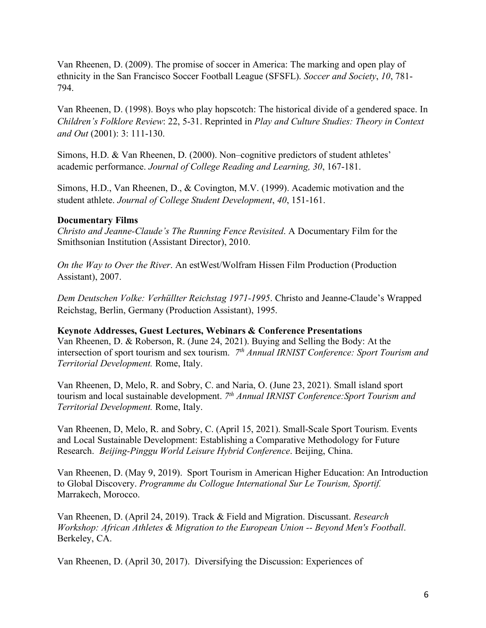Van Rheenen, D. (2009). The promise of soccer in America: The marking and open play of ethnicity in the San Francisco Soccer Football League (SFSFL). *Soccer and Society*, *10*, 781- 794.

Van Rheenen, D. (1998). Boys who play hopscotch: The historical divide of a gendered space. In *Children's Folklore Review*: 22, 5-31. Reprinted in *Play and Culture Studies: Theory in Context and Out* (2001): 3: 111-130.

Simons, H.D. & Van Rheenen, D. (2000). Non–cognitive predictors of student athletes' academic performance. *Journal of College Reading and Learning, 30*, 167-181.

Simons, H.D., Van Rheenen, D., & Covington, M.V. (1999). Academic motivation and the student athlete. *Journal of College Student Development*, *40*, 151-161.

# **Documentary Films**

*Christo and Jeanne-Claude's The Running Fence Revisited*. A Documentary Film for the Smithsonian Institution (Assistant Director), 2010.

*On the Way to Over the River*. An estWest/Wolfram Hissen Film Production (Production Assistant), 2007.

*Dem Deutschen Volke: Verhüllter Reichstag 1971-1995*. Christo and Jeanne-Claude's Wrapped Reichstag, Berlin, Germany (Production Assistant), 1995.

**Keynote Addresses, Guest Lectures, Webinars & Conference Presentations**  Van Rheenen, D. & Roberson, R. (June 24, 2021). Buying and Selling the Body: At the intersection of sport tourism and sex tourism. *7th Annual IRNIST Conference: Sport Tourism and Territorial Development.* Rome, Italy.

Van Rheenen, D, Melo, R. and Sobry, C. and Naria, O. (June 23, 2021). Small island sport tourism and local sustainable development. *7th Annual IRNIST Conference:Sport Tourism and Territorial Development.* Rome, Italy.

Van Rheenen, D, Melo, R. and Sobry, C. (April 15, 2021). Small-Scale Sport Tourism. Events and Local Sustainable Development: Establishing a Comparative Methodology for Future Research. *Beijing-Pinggu World Leisure Hybrid Conference*. Beijing, China.

Van Rheenen, D. (May 9, 2019). Sport Tourism in American Higher Education: An Introduction to Global Discovery. *Programme du Collogue International Sur Le Tourism, Sportif.* Marrakech, Morocco.

Van Rheenen, D. (April 24, 2019). Track & Field and Migration. Discussant. *Research Workshop: African Athletes & Migration to the European Union -- Beyond Men's Football*. Berkeley, CA.

Van Rheenen, D. (April 30, 2017). Diversifying the Discussion: Experiences of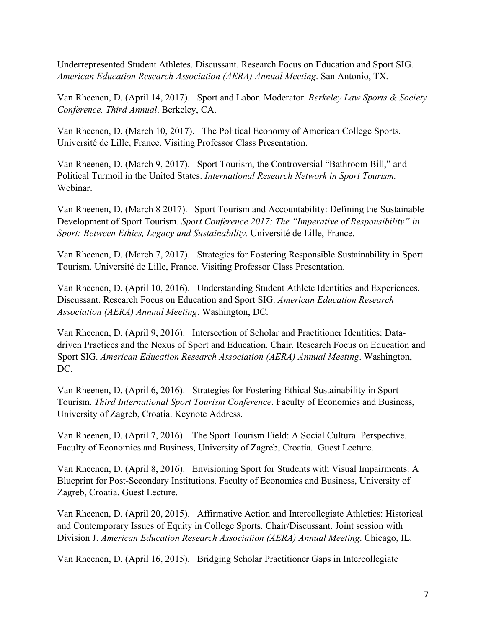Underrepresented Student Athletes. Discussant. Research Focus on Education and Sport SIG. *American Education Research Association (AERA) Annual Meeting*. San Antonio, TX.

Van Rheenen, D. (April 14, 2017). Sport and Labor. Moderator. *Berkeley Law Sports & Society Conference, Third Annual*. Berkeley, CA.

Van Rheenen, D. (March 10, 2017). The Political Economy of American College Sports. Université de Lille, France. Visiting Professor Class Presentation.

Van Rheenen, D. (March 9, 2017). Sport Tourism, the Controversial "Bathroom Bill," and Political Turmoil in the United States. *International Research Network in Sport Tourism.*  Webinar.

Van Rheenen, D. (March 8 2017). Sport Tourism and Accountability: Defining the Sustainable Development of Sport Tourism. *Sport Conference 2017: The "Imperative of Responsibility" in Sport: Between Ethics, Legacy and Sustainability.* Université de Lille, France.

Van Rheenen, D. (March 7, 2017). Strategies for Fostering Responsible Sustainability in Sport Tourism. Université de Lille, France. Visiting Professor Class Presentation.

Van Rheenen, D. (April 10, 2016). Understanding Student Athlete Identities and Experiences. Discussant. Research Focus on Education and Sport SIG. *American Education Research Association (AERA) Annual Meeting*. Washington, DC.

Van Rheenen, D. (April 9, 2016). Intersection of Scholar and Practitioner Identities: Datadriven Practices and the Nexus of Sport and Education. Chair. Research Focus on Education and Sport SIG. *American Education Research Association (AERA) Annual Meeting*. Washington, DC.

Van Rheenen, D. (April 6, 2016). Strategies for Fostering Ethical Sustainability in Sport Tourism. *Third International Sport Tourism Conference*. Faculty of Economics and Business, University of Zagreb, Croatia. Keynote Address.

Van Rheenen, D. (April 7, 2016). The Sport Tourism Field: A Social Cultural Perspective. Faculty of Economics and Business, University of Zagreb, Croatia. Guest Lecture.

Van Rheenen, D. (April 8, 2016). Envisioning Sport for Students with Visual Impairments: A Blueprint for Post-Secondary Institutions. Faculty of Economics and Business, University of Zagreb, Croatia. Guest Lecture.

Van Rheenen, D. (April 20, 2015). Affirmative Action and Intercollegiate Athletics: Historical and Contemporary Issues of Equity in College Sports. Chair/Discussant. Joint session with Division J. *American Education Research Association (AERA) Annual Meeting*. Chicago, IL.

Van Rheenen, D. (April 16, 2015). Bridging Scholar Practitioner Gaps in Intercollegiate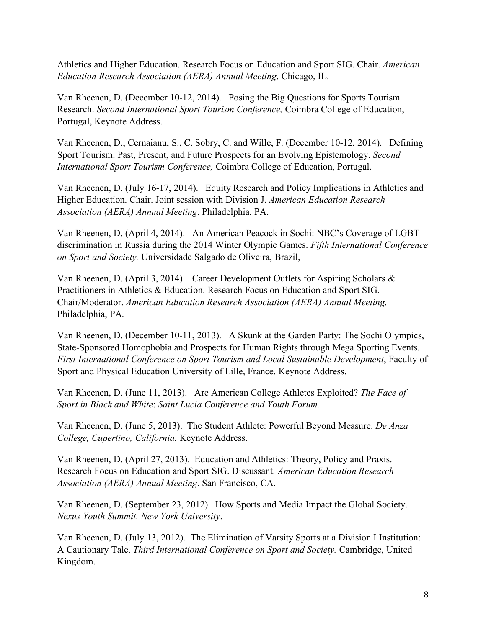Athletics and Higher Education. Research Focus on Education and Sport SIG. Chair. *American Education Research Association (AERA) Annual Meeting*. Chicago, IL.

Van Rheenen, D. (December 10-12, 2014). Posing the Big Questions for Sports Tourism Research. *Second International Sport Tourism Conference,* Coimbra College of Education, Portugal, Keynote Address.

Van Rheenen, D., Cernaianu, S., C. Sobry, C. and Wille, F. (December 10-12, 2014). Defining Sport Tourism: Past, Present, and Future Prospects for an Evolving Epistemology. *Second International Sport Tourism Conference,* Coimbra College of Education, Portugal.

Van Rheenen, D. (July 16-17, 2014). Equity Research and Policy Implications in Athletics and Higher Education. Chair. Joint session with Division J. *American Education Research Association (AERA) Annual Meeting*. Philadelphia, PA.

Van Rheenen, D. (April 4, 2014). An American Peacock in Sochi: NBC's Coverage of LGBT discrimination in Russia during the 2014 Winter Olympic Games. *Fifth International Conference on Sport and Society,* Universidade Salgado de Oliveira, Brazil,

Van Rheenen, D. (April 3, 2014). Career Development Outlets for Aspiring Scholars & Practitioners in Athletics & Education. Research Focus on Education and Sport SIG. Chair/Moderator. *American Education Research Association (AERA) Annual Meeting*. Philadelphia, PA.

Van Rheenen, D. (December 10-11, 2013). A Skunk at the Garden Party: The Sochi Olympics, State-Sponsored Homophobia and Prospects for Human Rights through Mega Sporting Events. *First International Conference on Sport Tourism and Local Sustainable Development*, Faculty of Sport and Physical Education University of Lille, France. Keynote Address.

Van Rheenen, D. (June 11, 2013). Are American College Athletes Exploited? *The Face of Sport in Black and White*: *Saint Lucia Conference and Youth Forum.*

Van Rheenen, D. (June 5, 2013). The Student Athlete: Powerful Beyond Measure. *De Anza College, Cupertino, California.* Keynote Address.

Van Rheenen, D. (April 27, 2013). Education and Athletics: Theory, Policy and Praxis. Research Focus on Education and Sport SIG. Discussant. *American Education Research Association (AERA) Annual Meeting*. San Francisco, CA.

Van Rheenen, D. (September 23, 2012). How Sports and Media Impact the Global Society. *Nexus Youth Summit. New York University*.

Van Rheenen, D. (July 13, 2012). The Elimination of Varsity Sports at a Division I Institution: A Cautionary Tale. *Third International Conference on Sport and Society.* Cambridge, United Kingdom.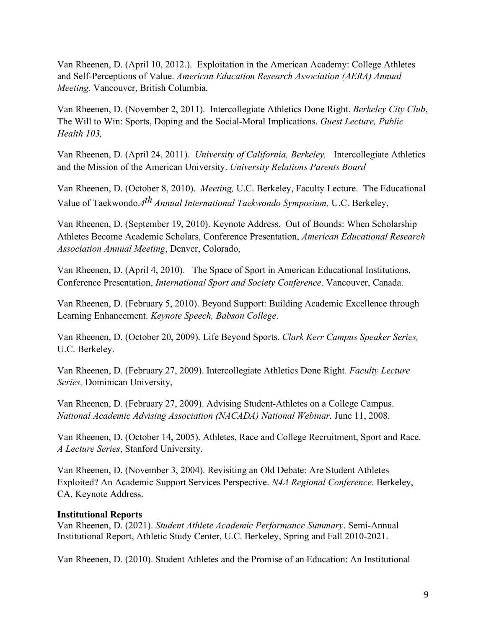Van Rheenen, D. (April 10, 2012.). Exploitation in the American Academy: College Athletes and Self-Perceptions of Value. *American Education Research Association (AERA) Annual Meeting.* Vancouver, British Columbia.

Van Rheenen, D. (November 2, 2011). Intercollegiate Athletics Done Right. *Berkeley City Club*, The Will to Win: Sports, Doping and the Social-Moral Implications. *Guest Lecture, Public Health 103,* 

Van Rheenen, D. (April 24, 2011). *University of California, Berkeley,* Intercollegiate Athletics and the Mission of the American University. *University Relations Parents Board* 

Van Rheenen, D. (October 8, 2010). *Meeting,* U.C. Berkeley, Faculty Lecture. The Educational Value of Taekwondo.*4th Annual International Taekwondo Symposium,* U.C. Berkeley,

Van Rheenen, D. (September 19, 2010). Keynote Address. Out of Bounds: When Scholarship Athletes Become Academic Scholars, Conference Presentation, *American Educational Research Association Annual Meeting*, Denver, Colorado,

Van Rheenen, D. (April 4, 2010). The Space of Sport in American Educational Institutions. Conference Presentation, *International Sport and Society Conference*. Vancouver, Canada.

Van Rheenen, D. (February 5, 2010). Beyond Support: Building Academic Excellence through Learning Enhancement. *Keynote Speech, Babson College*.

Van Rheenen, D. (October 20, 2009). Life Beyond Sports. *Clark Kerr Campus Speaker Series,*  U.C. Berkeley.

Van Rheenen, D. (February 27, 2009). Intercollegiate Athletics Done Right. *Faculty Lecture Series,* Dominican University,

Van Rheenen, D. (February 27, 2009). Advising Student-Athletes on a College Campus. *National Academic Advising Association (NACADA) National Webinar.* June 11, 2008.

Van Rheenen, D. (October 14, 2005). Athletes, Race and College Recruitment, Sport and Race. *A Lecture Series*, Stanford University.

Van Rheenen, D. (November 3, 2004). Revisiting an Old Debate: Are Student Athletes Exploited? An Academic Support Services Perspective. *N4A Regional Conference*. Berkeley, CA, Keynote Address.

### **Institutional Reports**

Van Rheenen, D. (2021). *Student Athlete Academic Performance Summary*. Semi-Annual Institutional Report, Athletic Study Center, U.C. Berkeley, Spring and Fall 2010-2021.

Van Rheenen, D. (2010). Student Athletes and the Promise of an Education: An Institutional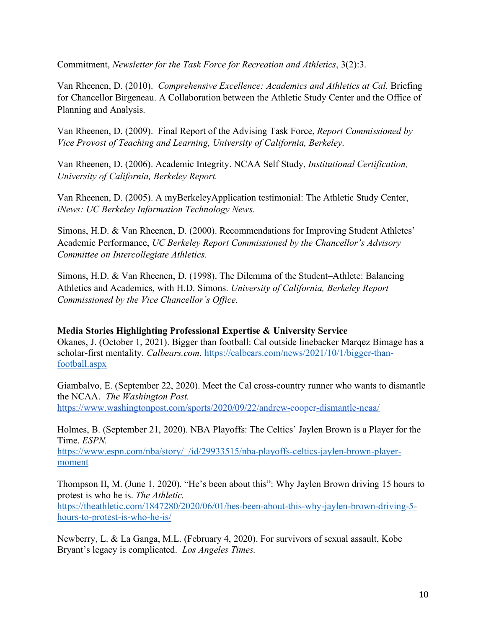Commitment, *Newsletter for the Task Force for Recreation and Athletics*, 3(2):3.

Van Rheenen, D. (2010). *Comprehensive Excellence: Academics and Athletics at Cal.* Briefing for Chancellor Birgeneau. A Collaboration between the Athletic Study Center and the Office of Planning and Analysis.

Van Rheenen, D. (2009). Final Report of the Advising Task Force, *Report Commissioned by Vice Provost of Teaching and Learning, University of California, Berkeley*.

Van Rheenen, D. (2006). Academic Integrity. NCAA Self Study, *Institutional Certification, University of California, Berkeley Report.* 

Van Rheenen, D. (2005). A myBerkeleyApplication testimonial: The Athletic Study Center, *iNews: UC Berkeley Information Technology News.* 

Simons, H.D. & Van Rheenen, D. (2000). Recommendations for Improving Student Athletes' Academic Performance, *UC Berkeley Report Commissioned by the Chancellor's Advisory Committee on Intercollegiate Athletics*.

Simons, H.D. & Van Rheenen, D. (1998). The Dilemma of the Student–Athlete: Balancing Athletics and Academics, with H.D. Simons. *University of California, Berkeley Report Commissioned by the Vice Chancellor's Office.* 

**Media Stories Highlighting Professional Expertise & University Service**  Okanes, J. (October 1, 2021). Bigger than football: Cal outside linebacker Marqez Bimage has a scholar-first mentality. *Calbears.com*. https://calbears.com/news/2021/10/1/bigger-thanfootball.aspx

Giambalvo, E. (September 22, 2020). Meet the Cal cross-country runner who wants to dismantle the NCAA. *The Washington Post.* https://www.washingtonpost.com/sports/2020/09/22/andrew-cooper-dismantle-ncaa/

Holmes, B. (September 21, 2020). NBA Playoffs: The Celtics' Jaylen Brown is a Player for the Time. *ESPN.*

https://www.espn.com/nba/story/\_/id/29933515/nba-playoffs-celtics-jaylen-brown-playermoment

Thompson II, M. (June 1, 2020). "He's been about this": Why Jaylen Brown driving 15 hours to protest is who he is. *The Athletic.* https://theathletic.com/1847280/2020/06/01/hes-been-about-this-why-jaylen-brown-driving-5 hours-to-protest-is-who-he-is/

Newberry, L. & La Ganga, M.L. (February 4, 2020). For survivors of sexual assault, Kobe Bryant's legacy is complicated. *Los Angeles Times.*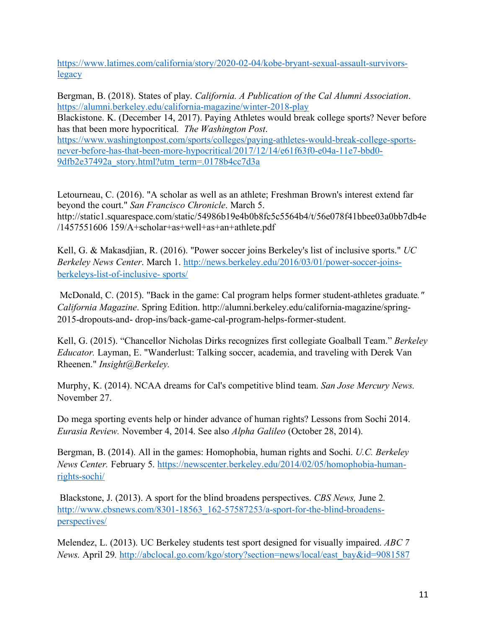https://www.latimes.com/california/story/2020-02-04/kobe-bryant-sexual-assault-survivorslegacy

Bergman, B. (2018). States of play. *California. A Publication of the Cal Alumni Association*. https://alumni.berkeley.edu/california-magazine/winter-2018-play Blackistone. K. (December 14, 2017). Paying Athletes would break college sports? Never before has that been more hypocritical*. The Washington Post*. https://www.washingtonpost.com/sports/colleges/paying-athletes-would-break-college-sportsnever-before-has-that-been-more-hypocritical/2017/12/14/e61f63f0-e04a-11e7-bbd0- 9dfb2e37492a\_story.html?utm\_term=.0178b4cc7d3a

Letourneau, C. (2016). "A scholar as well as an athlete; Freshman Brown's interest extend far beyond the court." *San Francisco Chronicle*. March 5. http://static1.squarespace.com/static/54986b19e4b0b8fc5c5564b4/t/56e078f41bbee03a0bb7db4e /1457551606 159/A+scholar+as+well+as+an+athlete.pdf

Kell, G. & Makasdjian, R. (2016). "Power soccer joins Berkeley's list of inclusive sports." *UC Berkeley News Center*. March 1. http://news.berkeley.edu/2016/03/01/power-soccer-joinsberkeleys-list-of-inclusive- sports/

McDonald, C. (2015). "Back in the game: Cal program helps former student-athletes graduate*." California Magazine*. Spring Edition. http://alumni.berkeley.edu/california-magazine/spring-2015-dropouts-and- drop-ins/back-game-cal-program-helps-former-student.

Kell, G. (2015). "Chancellor Nicholas Dirks recognizes first collegiate Goalball Team." *Berkeley Educator.* Layman, E. "Wanderlust: Talking soccer, academia, and traveling with Derek Van Rheenen." *Insight@Berkeley.* 

Murphy, K. (2014). NCAA dreams for Cal's competitive blind team. *San Jose Mercury News.*  November 27.

Do mega sporting events help or hinder advance of human rights? Lessons from Sochi 2014. *Eurasia Review.* November 4, 2014. See also *Alpha Galileo* (October 28, 2014).

Bergman, B. (2014). All in the games: Homophobia, human rights and Sochi. *U.C. Berkeley News Center.* February 5. https://newscenter.berkeley.edu/2014/02/05/homophobia-humanrights-sochi/

Blackstone, J. (2013). A sport for the blind broadens perspectives. *CBS News,* June 2*.*  http://www.cbsnews.com/8301-18563\_162-57587253/a-sport-for-the-blind-broadensperspectives/

Melendez, L. (2013). UC Berkeley students test sport designed for visually impaired. *ABC 7 News.* April 29*.* http://abclocal.go.com/kgo/story?section=news/local/east\_bay&id=9081587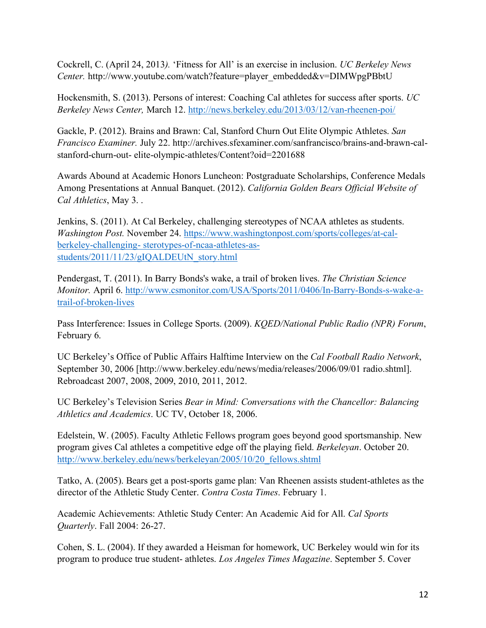Cockrell, C. (April 24, 2013*).* 'Fitness for All' is an exercise in inclusion. *UC Berkeley News Center.* http://www.youtube.com/watch?feature=player\_embedded&v=DIMWpgPBbtU

Hockensmith, S. (2013). Persons of interest: Coaching Cal athletes for success after sports. *UC Berkeley News Center,* March 12. http://news.berkeley.edu/2013/03/12/van-rheenen-poi/

Gackle, P. (2012). Brains and Brawn: Cal, Stanford Churn Out Elite Olympic Athletes. *San Francisco Examiner.* July 22. http://archives.sfexaminer.com/sanfrancisco/brains-and-brawn-calstanford-churn-out- elite-olympic-athletes/Content?oid=2201688

Awards Abound at Academic Honors Luncheon: Postgraduate Scholarships, Conference Medals Among Presentations at Annual Banquet. (2012). *California Golden Bears Official Website of Cal Athletics*, May 3. .

Jenkins, S. (2011). At Cal Berkeley, challenging stereotypes of NCAA athletes as students. *Washington Post.* November 24. https://www.washingtonpost.com/sports/colleges/at-calberkeley-challenging- sterotypes-of-ncaa-athletes-asstudents/2011/11/23/gIQALDEUtN\_story.html

Pendergast, T. (2011). In Barry Bonds's wake, a trail of broken lives. *The Christian Science Monitor.* April 6. http://www.csmonitor.com/USA/Sports/2011/0406/In-Barry-Bonds-s-wake-atrail-of-broken-lives

Pass Interference: Issues in College Sports. (2009). *KQED/National Public Radio (NPR) Forum*, February 6.

UC Berkeley's Office of Public Affairs Halftime Interview on the *Cal Football Radio Network*, September 30, 2006 [http://www.berkeley.edu/news/media/releases/2006/09/01 radio.shtml]. Rebroadcast 2007, 2008, 2009, 2010, 2011, 2012.

UC Berkeley's Television Series *Bear in Mind: Conversations with the Chancellor: Balancing Athletics and Academics*. UC TV, October 18, 2006.

Edelstein, W. (2005). Faculty Athletic Fellows program goes beyond good sportsmanship. New program gives Cal athletes a competitive edge off the playing field. *Berkeleyan*. October 20. http://www.berkeley.edu/news/berkeleyan/2005/10/20\_fellows.shtml

Tatko, A. (2005). Bears get a post-sports game plan: Van Rheenen assists student-athletes as the director of the Athletic Study Center. *Contra Costa Times*. February 1.

Academic Achievements: Athletic Study Center: An Academic Aid for All. *Cal Sports Quarterly*. Fall 2004: 26-27.

Cohen, S. L. (2004). If they awarded a Heisman for homework, UC Berkeley would win for its program to produce true student- athletes. *Los Angeles Times Magazine*. September 5. Cover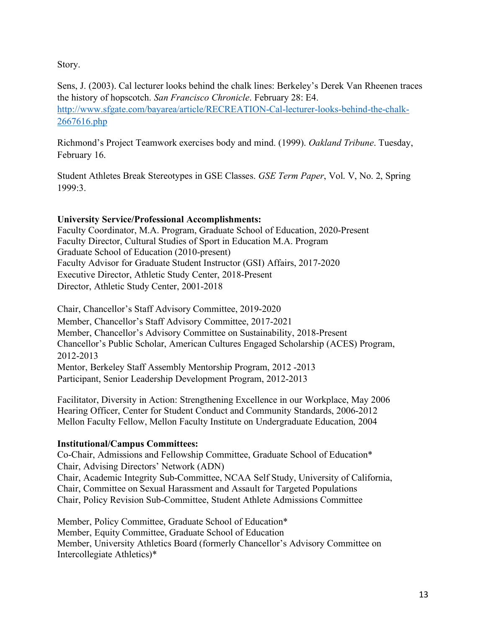Story.

Sens, J. (2003). Cal lecturer looks behind the chalk lines: Berkeley's Derek Van Rheenen traces the history of hopscotch. *San Francisco Chronicle*. February 28: E4. http://www.sfgate.com/bayarea/article/RECREATION-Cal-lecturer-looks-behind-the-chalk-2667616.php

Richmond's Project Teamwork exercises body and mind. (1999). *Oakland Tribune*. Tuesday, February 16.

Student Athletes Break Stereotypes in GSE Classes. *GSE Term Paper*, Vol. V, No. 2, Spring 1999:3.

# **University Service/Professional Accomplishments:**

Faculty Coordinator, M.A. Program, Graduate School of Education, 2020-Present Faculty Director, Cultural Studies of Sport in Education M.A. Program Graduate School of Education (2010-present) Faculty Advisor for Graduate Student Instructor (GSI) Affairs, 2017-2020 Executive Director, Athletic Study Center, 2018-Present Director, Athletic Study Center, 2001-2018

Chair, Chancellor's Staff Advisory Committee, 2019-2020 Member, Chancellor's Staff Advisory Committee, 2017-2021 Member, Chancellor's Advisory Committee on Sustainability, 2018-Present Chancellor's Public Scholar, American Cultures Engaged Scholarship (ACES) Program, 2012-2013 Mentor, Berkeley Staff Assembly Mentorship Program, 2012 -2013 Participant, Senior Leadership Development Program, 2012-2013

Facilitator, Diversity in Action: Strengthening Excellence in our Workplace, May 2006 Hearing Officer, Center for Student Conduct and Community Standards, 2006-2012 Mellon Faculty Fellow, Mellon Faculty Institute on Undergraduate Education, 2004

# **Institutional/Campus Committees:**

Co-Chair, Admissions and Fellowship Committee, Graduate School of Education\* Chair, Advising Directors' Network (ADN) Chair, Academic Integrity Sub-Committee, NCAA Self Study, University of California, Chair, Committee on Sexual Harassment and Assault for Targeted Populations Chair, Policy Revision Sub-Committee, Student Athlete Admissions Committee

Member, Policy Committee, Graduate School of Education\* Member, Equity Committee, Graduate School of Education Member, University Athletics Board (formerly Chancellor's Advisory Committee on Intercollegiate Athletics)\*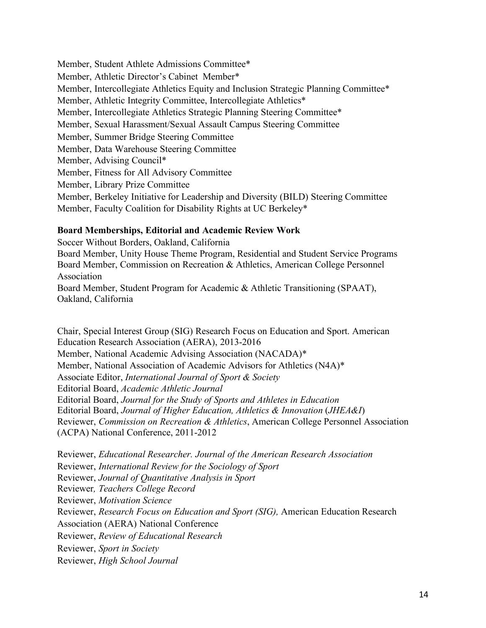Member, Student Athlete Admissions Committee\* Member, Athletic Director's Cabinet Member\* Member, Intercollegiate Athletics Equity and Inclusion Strategic Planning Committee\* Member, Athletic Integrity Committee, Intercollegiate Athletics\* Member, Intercollegiate Athletics Strategic Planning Steering Committee\* Member, Sexual Harassment/Sexual Assault Campus Steering Committee Member, Summer Bridge Steering Committee Member, Data Warehouse Steering Committee Member, Advising Council\* Member, Fitness for All Advisory Committee Member, Library Prize Committee Member, Berkeley Initiative for Leadership and Diversity (BILD) Steering Committee Member, Faculty Coalition for Disability Rights at UC Berkeley\*

### **Board Memberships, Editorial and Academic Review Work**

Soccer Without Borders, Oakland, California Board Member, Unity House Theme Program, Residential and Student Service Programs Board Member, Commission on Recreation & Athletics, American College Personnel Association Board Member, Student Program for Academic & Athletic Transitioning (SPAAT), Oakland, California

Chair, Special Interest Group (SIG) Research Focus on Education and Sport. American Education Research Association (AERA), 2013-2016 Member, National Academic Advising Association (NACADA)\* Member, National Association of Academic Advisors for Athletics (N4A)\* Associate Editor, *International Journal of Sport & Society* Editorial Board, *Academic Athletic Journal* Editorial Board, *Journal for the Study of Sports and Athletes in Education*  Editorial Board, *Journal of Higher Education, Athletics & Innovation* (*JHEA&I*) Reviewer, *Commission on Recreation & Athletics*, American College Personnel Association (ACPA) National Conference, 2011-2012

Reviewer, *Educational Researcher. Journal of the American Research Association*  Reviewer, *International Review for the Sociology of Sport* Reviewer, *Journal of Quantitative Analysis in Sport* Reviewer*, Teachers College Record*  Reviewer, *Motivation Science* Reviewer, *Research Focus on Education and Sport (SIG),* American Education Research Association (AERA) National Conference Reviewer, *Review of Educational Research* Reviewer, *Sport in Society* Reviewer, *High School Journal*